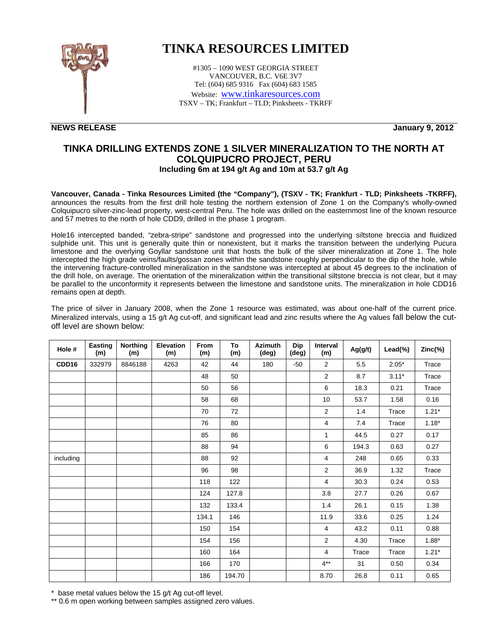

## **TINKA RESOURCES LIMITED**

#1305 – 1090 WEST GEORGIA STREET VANCOUVER, B.C. V6E 3V7 Tel: (604) 685 9316 Fax (604) 683 1585 Website: www.tinkaresources.com TSXV – TK; Frankfurt – TLD; Pinksheets - TKRFF

**NEWS RELEASE January 9, 2012** 

## **TINKA DRILLING EXTENDS ZONE 1 SILVER MINERALIZATION TO THE NORTH AT COLQUIPUCRO PROJECT, PERU Including 6m at 194 g/t Ag and 10m at 53.7 g/t Ag**

**Vancouver, Canada - Tinka Resources Limited (the "Company"), (TSXV - TK; Frankfurt - TLD; Pinksheets -TKRFF),**  announces the results from the first drill hole testing the northern extension of Zone 1 on the Company's wholly-owned Colquipucro silver-zinc-lead property, west-central Peru. The hole was drilled on the easternmost line of the known resource and 57 metres to the north of hole CDD9, drilled in the phase 1 program.

Hole16 intercepted banded, "zebra-stripe" sandstone and progressed into the underlying siltstone breccia and fluidized sulphide unit. This unit is generally quite thin or nonexistent, but it marks the transition between the underlying Pucura limestone and the overlying Goyllar sandstone unit that hosts the bulk of the silver mineralization at Zone 1. The hole intercepted the high grade veins/faults/gossan zones within the sandstone roughly perpendicular to the dip of the hole, while the intervening fracture-controlled mineralization in the sandstone was intercepted at about 45 degrees to the inclination of the drill hole, on average. The orientation of the mineralization within the transitional siltstone breccia is not clear, but it may be parallel to the unconformity it represents between the limestone and sandstone units. The mineralization in hole CDD16 remains open at depth.

The price of silver in January 2008, when the Zone 1 resource was estimated, was about one-half of the current price. Mineralized intervals, using a 15 g/t Ag cut-off, and significant lead and zinc results where the Ag values fall below the cutoff level are shown below:

| Hole #    | Easting<br>(m) | <b>Northing</b><br>(m) | <b>Elevation</b><br>(m) | From<br>(m) | To<br>(m) | <b>Azimuth</b><br>(deg) | <b>Dip</b><br>(deg) | Interval<br>(m) | Ag(g/t) | Lead(%) | Zinc(%) |
|-----------|----------------|------------------------|-------------------------|-------------|-----------|-------------------------|---------------------|-----------------|---------|---------|---------|
| CDD16     | 332979         | 8846188                | 4263                    | 42          | 44        | 180                     | $-50$               | 2               | 5.5     | $2.05*$ | Trace   |
|           |                |                        |                         | 48          | 50        |                         |                     | $\overline{2}$  | 8.7     | $3.11*$ | Trace   |
|           |                |                        |                         | 50          | 56        |                         |                     | 6               | 18.3    | 0.21    | Trace   |
|           |                |                        |                         | 58          | 68        |                         |                     | 10              | 53.7    | 1.58    | 0.16    |
|           |                |                        |                         | 70          | 72        |                         |                     | $\overline{c}$  | 1.4     | Trace   | $1.21*$ |
|           |                |                        |                         | 76          | 80        |                         |                     | 4               | 7.4     | Trace   | $1.18*$ |
|           |                |                        |                         | 85          | 86        |                         |                     | $\mathbf{1}$    | 44.5    | 0.27    | 0.17    |
|           |                |                        |                         | 88          | 94        |                         |                     | 6               | 194.3   | 0.63    | 0.27    |
| including |                |                        |                         | 88          | 92        |                         |                     | 4               | 248     | 0.65    | 0.33    |
|           |                |                        |                         | 96          | 98        |                         |                     | 2               | 36.9    | 1.32    | Trace   |
|           |                |                        |                         | 118         | 122       |                         |                     | 4               | 30.3    | 0.24    | 0.53    |
|           |                |                        |                         | 124         | 127.8     |                         |                     | 3.8             | 27.7    | 0.26    | 0.67    |
|           |                |                        |                         | 132         | 133.4     |                         |                     | 1.4             | 26.1    | 0.15    | 1.38    |
|           |                |                        |                         | 134.1       | 146       |                         |                     | 11.9            | 33.6    | 0.25    | 1.24    |
|           |                |                        |                         | 150         | 154       |                         |                     | 4               | 43.2    | 0.11    | 0.88    |
|           |                |                        |                         | 154         | 156       |                         |                     | $\overline{2}$  | 4.30    | Trace   | $1.88*$ |
|           |                |                        |                         | 160         | 164       |                         |                     | 4               | Trace   | Trace   | $1.21*$ |
|           |                |                        |                         | 166         | 170       |                         |                     | $4**$           | 31      | 0.50    | 0.34    |
|           |                |                        |                         | 186         | 194.70    |                         |                     | 8.70            | 26.8    | 0.11    | 0.65    |

\* base metal values below the 15 g/t Ag cut-off level.

\*\* 0.6 m open working between samples assigned zero values.